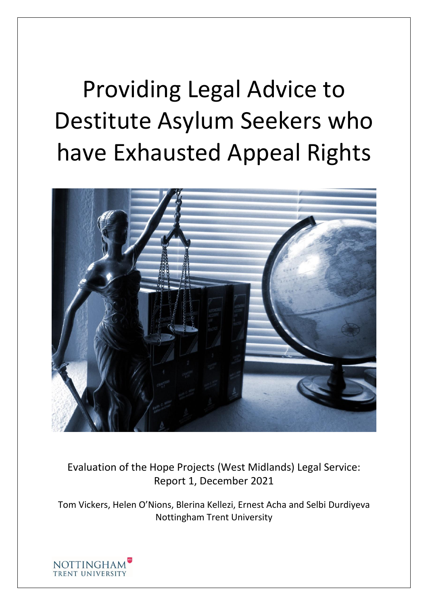# Providing Legal Advice to Destitute Asylum Seekers who have Exhausted Appeal Rights



Evaluation of the Hope Projects (West Midlands) Legal Service: Report 1, December 2021

Tom Vickers, Helen O'Nions, Blerina Kellezi, Ernest Acha and Selbi Durdiyeva Nottingham Trent University

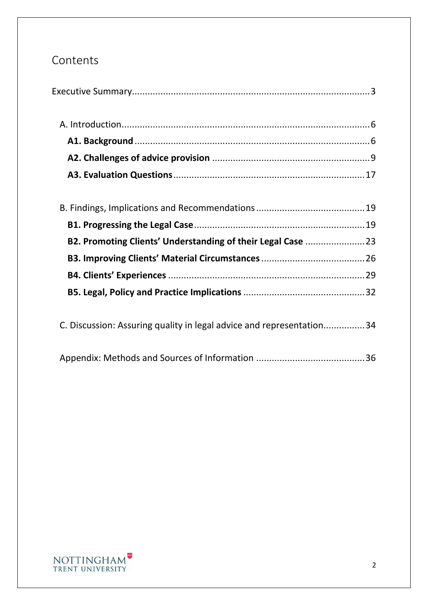# Contents

|--|

| C. Discussion: Assuring quality in legal advice and representation34 |  |
|----------------------------------------------------------------------|--|
|----------------------------------------------------------------------|--|

|--|--|--|

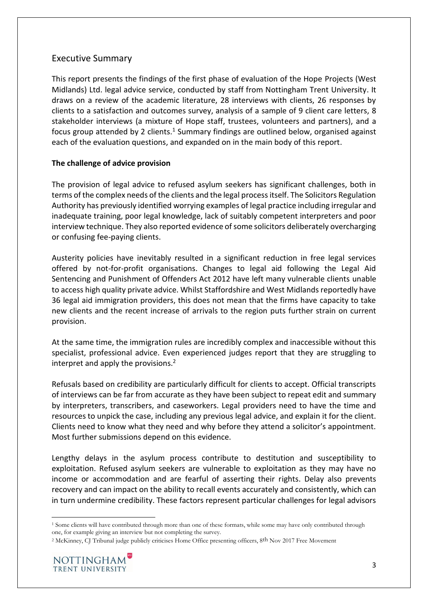# <span id="page-2-0"></span>Executive Summary

This report presents the findings of the first phase of evaluation of the Hope Projects (West Midlands) Ltd. legal advice service, conducted by staff from Nottingham Trent University. It draws on a review of the academic literature, 28 interviews with clients, 26 responses by clients to a satisfaction and outcomes survey, analysis of a sample of 9 client care letters, 8 stakeholder interviews (a mixture of Hope staff, trustees, volunteers and partners), and a focus group attended by 2 clients.<sup>1</sup> Summary findings are outlined below, organised against each of the evaluation questions, and expanded on in the main body of this report.

#### **The challenge of advice provision**

The provision of legal advice to refused asylum seekers has significant challenges, both in terms of the complex needs of the clients and the legal process itself. The Solicitors Regulation Authority has previously identified worrying examples of legal practice including irregular and inadequate training, poor legal knowledge, lack of suitably competent interpreters and poor interview technique. They also reported evidence of some solicitors deliberately overcharging or confusing fee-paying clients.

Austerity policies have inevitably resulted in a significant reduction in free legal services offered by not-for-profit organisations. Changes to legal aid following the Legal Aid Sentencing and Punishment of Offenders Act 2012 have left many vulnerable clients unable to access high quality private advice. Whilst Staffordshire and West Midlands reportedly have 36 legal aid immigration providers, this does not mean that the firms have capacity to take new clients and the recent increase of arrivals to the region puts further strain on current provision.

At the same time, the immigration rules are incredibly complex and inaccessible without this specialist, professional advice. Even experienced judges report that they are struggling to interpret and apply the provisions.<sup>2</sup>

Refusals based on credibility are particularly difficult for clients to accept. Official transcripts of interviews can be far from accurate as they have been subject to repeat edit and summary by interpreters, transcribers, and caseworkers. Legal providers need to have the time and resources to unpick the case, including any previous legal advice, and explain it for the client. Clients need to know what they need and why before they attend a solicitor's appointment. Most further submissions depend on this evidence.

Lengthy delays in the asylum process contribute to destitution and susceptibility to exploitation. Refused asylum seekers are vulnerable to exploitation as they may have no income or accommodation and are fearful of asserting their rights. Delay also prevents recovery and can impact on the ability to recall events accurately and consistently, which can in turn undermine credibility. These factors represent particular challenges for legal advisors

<sup>&</sup>lt;sup>2</sup> McKinney, CJ Tribunal judge publicly criticises Home Office presenting officers, 8<sup>th</sup> Nov 2017 Free Movement



<sup>1</sup> Some clients will have contributed through more than one of these formats, while some may have only contributed through one, for example giving an interview but not completing the survey.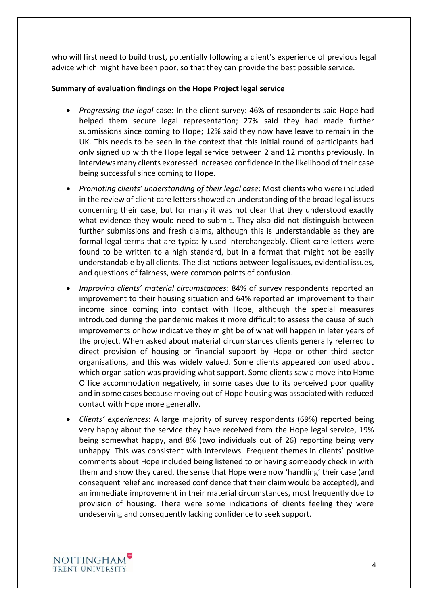who will first need to build trust, potentially following a client's experience of previous legal advice which might have been poor, so that they can provide the best possible service.

#### **Summary of evaluation findings on the Hope Project legal service**

- *Progressing the legal* case: In the client survey: 46% of respondents said Hope had helped them secure legal representation; 27% said they had made further submissions since coming to Hope; 12% said they now have leave to remain in the UK. This needs to be seen in the context that this initial round of participants had only signed up with the Hope legal service between 2 and 12 months previously. In interviews many clients expressed increased confidence in the likelihood of their case being successful since coming to Hope.
- *Promoting clients' understanding of their legal case*: Most clients who were included in the review of client care letters showed an understanding of the broad legal issues concerning their case, but for many it was not clear that they understood exactly what evidence they would need to submit. They also did not distinguish between further submissions and fresh claims, although this is understandable as they are formal legal terms that are typically used interchangeably. Client care letters were found to be written to a high standard, but in a format that might not be easily understandable by all clients. The distinctions between legal issues, evidential issues, and questions of fairness, were common points of confusion.
- *Improving clients' material circumstances*: 84% of survey respondents reported an improvement to their housing situation and 64% reported an improvement to their income since coming into contact with Hope, although the special measures introduced during the pandemic makes it more difficult to assess the cause of such improvements or how indicative they might be of what will happen in later years of the project. When asked about material circumstances clients generally referred to direct provision of housing or financial support by Hope or other third sector organisations, and this was widely valued. Some clients appeared confused about which organisation was providing what support. Some clients saw a move into Home Office accommodation negatively, in some cases due to its perceived poor quality and in some cases because moving out of Hope housing was associated with reduced contact with Hope more generally.
- *Clients' experiences*: A large majority of survey respondents (69%) reported being very happy about the service they have received from the Hope legal service, 19% being somewhat happy, and 8% (two individuals out of 26) reporting being very unhappy. This was consistent with interviews. Frequent themes in clients' positive comments about Hope included being listened to or having somebody check in with them and show they cared, the sense that Hope were now 'handling' their case (and consequent relief and increased confidence that their claim would be accepted), and an immediate improvement in their material circumstances, most frequently due to provision of housing. There were some indications of clients feeling they were undeserving and consequently lacking confidence to seek support.

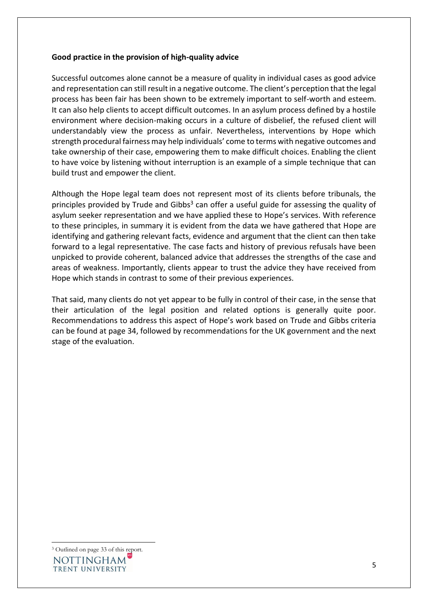#### **Good practice in the provision of high-quality advice**

Successful outcomes alone cannot be a measure of quality in individual cases as good advice and representation can still result in a negative outcome. The client's perception that the legal process has been fair has been shown to be extremely important to self-worth and esteem. It can also help clients to accept difficult outcomes. In an asylum process defined by a hostile environment where decision-making occurs in a culture of disbelief, the refused client will understandably view the process as unfair. Nevertheless, interventions by Hope which strength procedural fairness may help individuals' come to terms with negative outcomes and take ownership of their case, empowering them to make difficult choices. Enabling the client to have voice by listening without interruption is an example of a simple technique that can build trust and empower the client.

Although the Hope legal team does not represent most of its clients before tribunals, the principles provided by Trude and Gibbs<sup>3</sup> can offer a useful guide for assessing the quality of asylum seeker representation and we have applied these to Hope's services. With reference to these principles, in summary it is evident from the data we have gathered that Hope are identifying and gathering relevant facts, evidence and argument that the client can then take forward to a legal representative. The case facts and history of previous refusals have been unpicked to provide coherent, balanced advice that addresses the strengths of the case and areas of weakness. Importantly, clients appear to trust the advice they have received from Hope which stands in contrast to some of their previous experiences.

<span id="page-4-0"></span>That said, many clients do not yet appear to be fully in control of their case, in the sense that their articulation of the legal position and related options is generally quite poor. Recommendations to address this aspect of Hope's work based on Trude and Gibbs criteria can be found at page 34, followed by recommendations for the UK government and the next stage of the evaluation.

<sup>3</sup> Outlined on page 33 of this report.**NOTTINGHAM** TRENT UNIVERSITY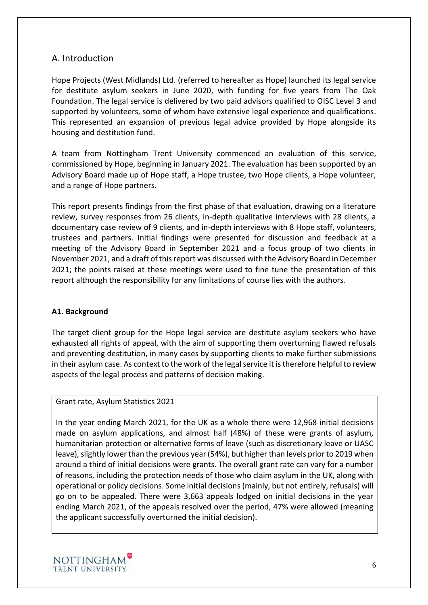### A. Introduction

Hope Projects (West Midlands) Ltd. (referred to hereafter as Hope) launched its legal service for destitute asylum seekers in June 2020, with funding for five years from The Oak Foundation. The legal service is delivered by two paid advisors qualified to OISC Level 3 and supported by volunteers, some of whom have extensive legal experience and qualifications. This represented an expansion of previous legal advice provided by Hope alongside its housing and destitution fund.

A team from Nottingham Trent University commenced an evaluation of this service, commissioned by Hope, beginning in January 2021. The evaluation has been supported by an Advisory Board made up of Hope staff, a Hope trustee, two Hope clients, a Hope volunteer, and a range of Hope partners.

This report presents findings from the first phase of that evaluation, drawing on a literature review, survey responses from 26 clients, in-depth qualitative interviews with 28 clients, a documentary case review of 9 clients, and in-depth interviews with 8 Hope staff, volunteers, trustees and partners. Initial findings were presented for discussion and feedback at a meeting of the Advisory Board in September 2021 and a focus group of two clients in November 2021, and a draft of this report was discussed with the Advisory Board in December 2021; the points raised at these meetings were used to fine tune the presentation of this report although the responsibility for any limitations of course lies with the authors.

#### <span id="page-5-0"></span>**A1. Background**

The target client group for the Hope legal service are destitute asylum seekers who have exhausted all rights of appeal, with the aim of supporting them overturning flawed refusals and preventing destitution, in many cases by supporting clients to make further submissions in their asylum case. As context to the work of the legal service it is therefore helpful to review aspects of the legal process and patterns of decision making.

#### Grant rate, Asylum Statistics 2021

In the year ending March 2021, for the UK as a whole there were 12,968 initial decisions made on asylum applications, and almost half (48%) of these were grants of asylum, humanitarian protection or alternative forms of leave (such as discretionary leave or UASC leave), slightly lower than the previous year (54%), but higher than levels prior to 2019 when around a third of initial decisions were grants. The overall grant rate can vary for a number of reasons, including the protection needs of those who claim asylum in the UK, along with operational or policy decisions. Some initial decisions (mainly, but not entirely, refusals) will go on to be appealed. There were 3,663 appeals lodged on initial decisions in the year ending March 2021, of the appeals resolved over the period, 47% were allowed (meaning the applicant successfully overturned the initial decision).

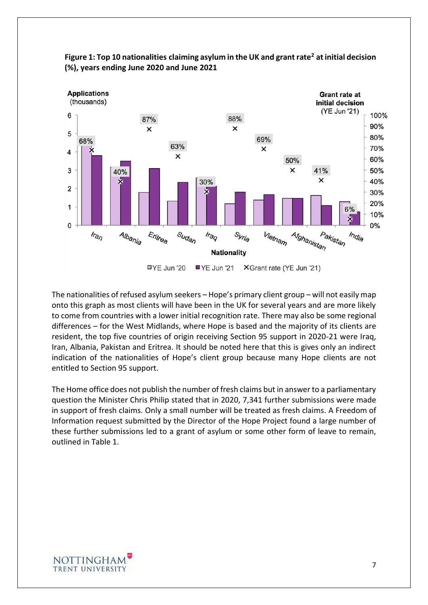

**Figure 1: Top 10 nationalities claiming asylum in the UK and grant rate<sup>2</sup> at initial decision (%), years ending June 2020 and June 2021**

The nationalities of refused asylum seekers – Hope's primary client group – will not easily map onto this graph as most clients will have been in the UK for several years and are more likely to come from countries with a lower initial recognition rate. There may also be some regional differences – for the West Midlands, where Hope is based and the majority of its clients are resident, the top five countries of origin receiving Section 95 support in 2020-21 were Iraq, Iran, Albania, Pakistan and Eritrea. It should be noted here that this is gives only an indirect indication of the nationalities of Hope's client group because many Hope clients are not entitled to Section 95 support.

The Home office does not publish the number of fresh claims but in answer to a parliamentary question the Minister Chris Philip stated that in 2020, 7,341 further submissions were made in support of fresh claims. Only a small number will be treated as fresh claims. A Freedom of Information request submitted by the Director of the Hope Project found a large number of these further submissions led to a grant of asylum or some other form of leave to remain, outlined in Table 1.

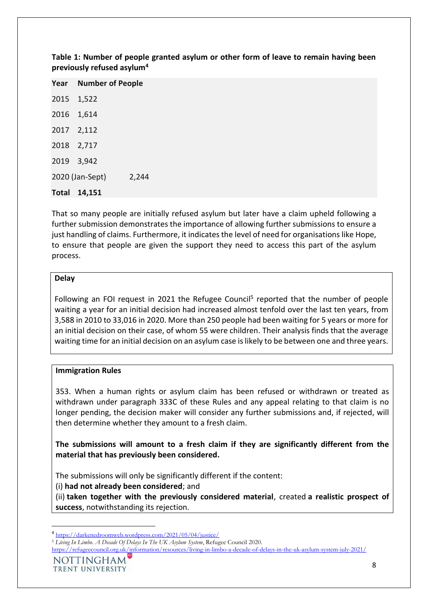| <b>Year</b> Number of People |       |
|------------------------------|-------|
| 2015 1,522                   |       |
| 2016 1,614                   |       |
| 2017 2,112                   |       |
| 2018 2,717                   |       |
| 2019 3,942                   |       |
| 2020 (Jan-Sept)              | 2,244 |
| Total 14,151                 |       |

**Table 1: Number of people granted asylum or other form of leave to remain having been previously refused asylum<sup>4</sup>**

That so many people are initially refused asylum but later have a claim upheld following a further submission demonstrates the importance of allowing further submissions to ensure a just handling of claims. Furthermore, it indicates the level of need for organisations like Hope, to ensure that people are given the support they need to access this part of the asylum process.

#### **Delay**

Following an FOI request in 2021 the Refugee Council<sup>5</sup> reported that the number of people waiting a year for an initial decision had increased almost tenfold over the last ten years, from 3,588 in 2010 to 33,016 in 2020. More than 250 people had been waiting for 5 years or more for an initial decision on their case, of whom 55 were children. Their analysis finds that the average waiting time for an initial decision on an asylum case is likely to be between one and three years.

#### **Immigration Rules**

353. When a human rights or asylum claim has been refused or withdrawn or treated as withdrawn under paragraph 333C of these Rules and any appeal relating to that claim is no longer pending, the decision maker will consider any further submissions and, if rejected, will then determine whether they amount to a fresh claim.

**The submissions will amount to a fresh claim if they are significantly different from the material that has previously been considered.**

The submissions will only be significantly different if the content:

(i) **had not already been considered**; and

(ii) **taken together with the previously considered material**, created **a realistic prospect of success**, notwithstanding its rejection.

<sup>4</sup> <https://darkenedroomweb.wordpress.com/2021/05/04/justice/>

<sup>5</sup> *Living In Limbo. A Decade Of Delays In The UK Asylum System*, Refugee Council 2020.

<https://refugeecouncil.org.uk/information/resources/living-in-limbo-a-decade-of-delays-in-the-uk-asylum-system-july-2021/>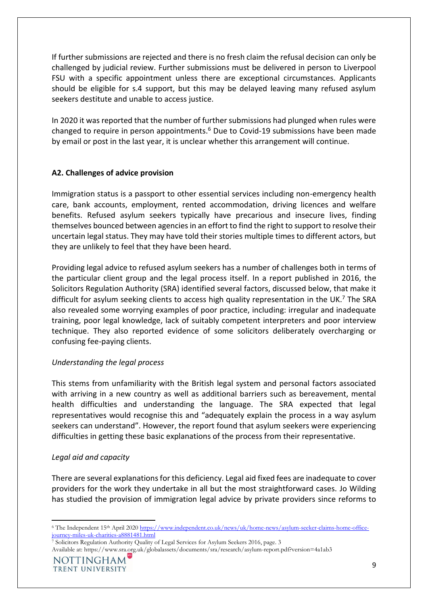If further submissions are rejected and there is no fresh claim the refusal decision can only be challenged by judicial review. Further submissions must be delivered in person to Liverpool FSU with a specific appointment unless there are exceptional circumstances. Applicants should be eligible for s.4 support, but this may be delayed leaving many refused asylum seekers destitute and unable to access justice.

In 2020 it was reported that the number of further submissions had plunged when rules were changed to require in person appointments. $<sup>6</sup>$  Due to Covid-19 submissions have been made</sup> by email or post in the last year, it is unclear whether this arrangement will continue.

#### <span id="page-8-0"></span>**A2. Challenges of advice provision**

Immigration status is a passport to other essential services including non-emergency health care, bank accounts, employment, rented accommodation, driving licences and welfare benefits. Refused asylum seekers typically have precarious and insecure lives, finding themselves bounced between agencies in an effort to find the right to support to resolve their uncertain legal status. They may have told their stories multiple times to different actors, but they are unlikely to feel that they have been heard.

Providing legal advice to refused asylum seekers has a number of challenges both in terms of the particular client group and the legal process itself. In a report published in 2016, the Solicitors Regulation Authority (SRA) identified several factors, discussed below, that make it difficult for asylum seeking clients to access high quality representation in the UK.<sup>7</sup> The SRA also revealed some worrying examples of poor practice, including: irregular and inadequate training, poor legal knowledge, lack of suitably competent interpreters and poor interview technique. They also reported evidence of some solicitors deliberately overcharging or confusing fee-paying clients.

#### *Understanding the legal process*

This stems from unfamiliarity with the British legal system and personal factors associated with arriving in a new country as well as additional barriers such as bereavement, mental health difficulties and understanding the language. The SRA expected that legal representatives would recognise this and "adequately explain the process in a way asylum seekers can understand". However, the report found that asylum seekers were experiencing difficulties in getting these basic explanations of the process from their representative.

#### *Legal aid and capacity*

There are several explanations for this deficiency. Legal aid fixed fees are inadequate to cover providers for the work they undertake in all but the most straightforward cases. Jo Wilding has studied the provision of immigration legal advice by private providers since reforms to

<sup>6</sup> The Independent 15th April 202[0 https://www.independent.co.uk/news/uk/home-news/asylum-seeker-claims-home-office](https://www.independent.co.uk/news/uk/home-news/asylum-seeker-claims-home-office-journey-miles-uk-charities-a8881481.html)[journey-miles-uk-charities-a8881481.html](https://www.independent.co.uk/news/uk/home-news/asylum-seeker-claims-home-office-journey-miles-uk-charities-a8881481.html)

<sup>7</sup> Solicitors Regulation Authority Quality of Legal Services for Asylum Seekers 2016, page. 3

Available at: https://www.sra.org.uk/globalassets/documents/sra/research/asylum-report.pdf?version=4a1ab3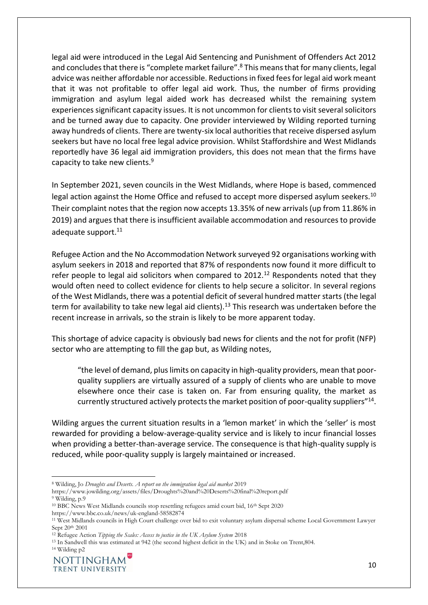legal aid were introduced in the Legal Aid Sentencing and Punishment of Offenders Act 2012 and concludes that there is "complete market failure".<sup>8</sup> This means that for many clients, legal advice was neither affordable nor accessible. Reductions in fixed fees for legal aid work meant that it was not profitable to offer legal aid work. Thus, the number of firms providing immigration and asylum legal aided work has decreased whilst the remaining system experiences significant capacity issues. It is not uncommon for clients to visit several solicitors and be turned away due to capacity. One provider interviewed by Wilding reported turning away hundreds of clients. There are twenty-six local authorities that receive dispersed asylum seekers but have no local free legal advice provision. Whilst Staffordshire and West Midlands reportedly have 36 legal aid immigration providers, this does not mean that the firms have capacity to take new clients.<sup>9</sup>

In September 2021, seven councils in the West Midlands, where Hope is based, commenced legal action against the Home Office and refused to accept more dispersed asylum seekers.<sup>10</sup> Their complaint notes that the region now accepts 13.35% of new arrivals (up from 11.86% in 2019) and argues that there is insufficient available accommodation and resources to provide adequate support.<sup>11</sup>

Refugee Action and the No Accommodation Network surveyed 92 organisations working with asylum seekers in 2018 and reported that 87% of respondents now found it more difficult to refer people to legal aid solicitors when compared to  $2012.<sup>12</sup>$  Respondents noted that they would often need to collect evidence for clients to help secure a solicitor. In several regions of the West Midlands, there was a potential deficit of several hundred matter starts (the legal term for availability to take new legal aid clients).<sup>13</sup> This research was undertaken before the recent increase in arrivals, so the strain is likely to be more apparent today.

This shortage of advice capacity is obviously bad news for clients and the not for profit (NFP) sector who are attempting to fill the gap but, as Wilding notes,

"the level of demand, plus limits on capacity in high-quality providers, mean that poorquality suppliers are virtually assured of a supply of clients who are unable to move elsewhere once their case is taken on. Far from ensuring quality, the market as currently structured actively protects the market position of poor-quality suppliers"<sup>14</sup>.

Wilding argues the current situation results in a 'lemon market' in which the 'seller' is most rewarded for providing a below-average-quality service and is likely to incur financial losses when providing a better-than-average service. The consequence is that high-quality supply is reduced, while poor-quality supply is largely maintained or increased.

<sup>8</sup> Wilding, Jo *Droughts and Deserts. A report on the immigration legal aid market* 2019

https://www.jowilding.org/assets/files/Droughts%20and%20Deserts%20final%20report.pdf <sup>9</sup> Wilding, p.9

<sup>10</sup> BBC News West Midlands councils stop resettling refugees amid court bid, 16th Sept 2020 https://www.bbc.co.uk/news/uk-england-58582874

<sup>11</sup> West Midlands councils in High Court challenge over bid to exit voluntary asylum dispersal scheme Local Government Lawyer Sept 20<sup>th</sup> 2001

<sup>12</sup> Refugee Action *Tipping the Scales: Access to justice in the UK Asylum System* 2018

<sup>13</sup> In Sandwell this was estimated at 942 (the second highest deficit in the UK) and in Stoke on Trent,804.

<sup>14</sup> Wilding p2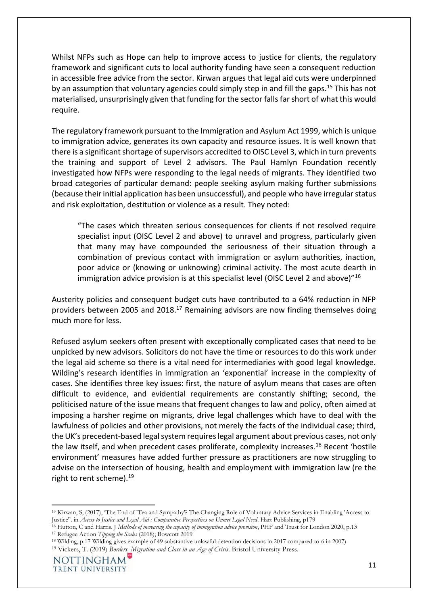Whilst NFPs such as Hope can help to improve access to justice for clients, the regulatory framework and significant cuts to local authority funding have seen a consequent reduction in accessible free advice from the sector. Kirwan argues that legal aid cuts were underpinned by an assumption that voluntary agencies could simply step in and fill the gaps.<sup>15</sup> This has not materialised, unsurprisingly given that funding for the sector falls far short of what this would require.

The regulatory framework pursuant to the Immigration and Asylum Act 1999, which is unique to immigration advice, generates its own capacity and resource issues. It is well known that there is a significant shortage of supervisors accredited to OISC Level 3, which in turn prevents the training and support of Level 2 advisors. The Paul Hamlyn Foundation recently investigated how NFPs were responding to the legal needs of migrants. They identified two broad categories of particular demand: people seeking asylum making further submissions (because their initial application has been unsuccessful), and people who have irregular status and risk exploitation, destitution or violence as a result. They noted:

"The cases which threaten serious consequences for clients if not resolved require specialist input (OISC Level 2 and above) to unravel and progress, particularly given that many may have compounded the seriousness of their situation through a combination of previous contact with immigration or asylum authorities, inaction, poor advice or (knowing or unknowing) criminal activity. The most acute dearth in immigration advice provision is at this specialist level (OISC Level 2 and above)"<sup>16</sup>

Austerity policies and consequent budget cuts have contributed to a 64% reduction in NFP providers between 2005 and 2018.<sup>17</sup> Remaining advisors are now finding themselves doing much more for less.

Refused asylum seekers often present with exceptionally complicated cases that need to be unpicked by new advisors. Solicitors do not have the time or resources to do this work under the legal aid scheme so there is a vital need for intermediaries with good legal knowledge. Wilding's research identifies in immigration an 'exponential' increase in the complexity of cases. She identifies three key issues: first, the nature of asylum means that cases are often difficult to evidence, and evidential requirements are constantly shifting; second, the politicised nature of the issue means that frequent changes to law and policy, often aimed at imposing a harsher regime on migrants, drive legal challenges which have to deal with the lawfulness of policies and other provisions, not merely the facts of the individual case; third, the UK's precedent-based legal system requires legal argument about previous cases, not only the law itself, and when precedent cases proliferate, complexity increases.<sup>18</sup> Recent 'hostile environment' measures have added further pressure as practitioners are now struggling to advise on the intersection of housing, health and employment with immigration law (re the right to rent scheme).<sup>19</sup>

<sup>15</sup> Kirwan, S, (2017), 'The End of 'Tea and Sympathy'? The Changing Role of Voluntary Advice Services in Enabling 'Access to Justice''. in *Access to Justice and Legal Aid : Comparative Perspectives on Unmet Legal Need*. Hart Publishing, p179

<sup>16</sup> Hutton, C and Harris. J *Methods of increasing the capacity of immigration advice provision*, PHF and Trust for London 2020, p.13

<sup>17</sup> Refugee Action *Tipping the Scales* (2018); Bowcott 2019

<sup>18</sup> Wilding, p.17 Wilding gives example of 49 substantive unlawful detention decisions in 2017 compared to 6 in 2007)

<sup>19</sup> Vickers, T. (2019) *Borders, Migration and Class in an Age of Crisis*. Bristol University Press.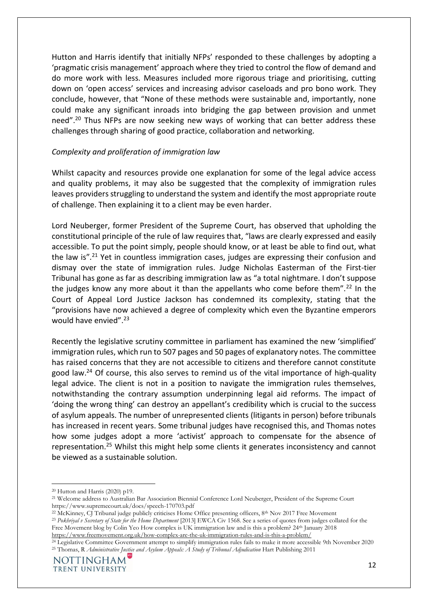Hutton and Harris identify that initially NFPs' responded to these challenges by adopting a 'pragmatic crisis management' approach where they tried to control the flow of demand and do more work with less. Measures included more rigorous triage and prioritising, cutting down on 'open access' services and increasing advisor caseloads and pro bono work. They conclude, however, that "None of these methods were sustainable and, importantly, none could make any significant inroads into bridging the gap between provision and unmet need".<sup>20</sup> Thus NFPs are now seeking new ways of working that can better address these challenges through sharing of good practice, collaboration and networking.

#### *Complexity and proliferation of immigration law*

Whilst capacity and resources provide one explanation for some of the legal advice access and quality problems, it may also be suggested that the complexity of immigration rules leaves providers struggling to understand the system and identify the most appropriate route of challenge. Then explaining it to a client may be even harder.

Lord Neuberger, former President of the Supreme Court, has observed that upholding the constitutional principle of the rule of law requires that, "laws are clearly expressed and easily accessible. To put the point simply, people should know, or at least be able to find out, what the law is"*.* <sup>21</sup> Yet in countless immigration cases, judges are expressing their confusion and dismay over the state of immigration rules. Judge Nicholas Easterman of the First-tier Tribunal has gone as far as describing immigration law as "a total nightmare. I don't suppose the judges know any more about it than the appellants who come before them".<sup>22</sup> In the Court of Appeal Lord Justice Jackson has condemned its complexity, stating that the "provisions have now achieved a degree of complexity which even the Byzantine emperors would have envied".<sup>23</sup>

Recently the legislative scrutiny committee in parliament has examined the new 'simplified' immigration rules, which run to 507 pages and 50 pages of explanatory notes. The committee has raised concerns that they are not accessible to citizens and therefore cannot constitute good law.<sup>24</sup> Of course, this also serves to remind us of the vital importance of high-quality legal advice. The client is not in a position to navigate the immigration rules themselves, notwithstanding the contrary assumption underpinning legal aid reforms. The impact of 'doing the wrong thing' can destroy an appellant's credibility which is crucial to the success of asylum appeals. The number of unrepresented clients (litigants in person) before tribunals has increased in recent years. Some tribunal judges have recognised this, and Thomas notes how some judges adopt a more 'activist' approach to compensate for the absence of representation.<sup>25</sup> Whilst this might help some clients it generates inconsistency and cannot be viewed as a sustainable solution.

<sup>20</sup> Hutton and Harris (2020) p19.

<sup>21</sup> Welcome address to Australian Bar Association Biennial Conference Lord Neuberger, President of the Supreme Court https://www.supremecourt.uk/docs/speech-170703.pdf

<sup>&</sup>lt;sup>22</sup> McKinney, CJ Tribunal judge publicly criticises Home Office presenting officers, 8<sup>th</sup> Nov 2017 Free Movement

<sup>23</sup> *Pokhriyal v Secretary of State for the Home Department* [\[2013\] EWCA Civ 1568.](http://www.bailii.org/ew/cases/EWCA/Civ/2013/1568.html) See a series of quotes from judges collated for the Free Movement blog by Colin Yeo How complex is UK immigration law and is this a problem? 24th January 2018 <https://www.freemovement.org.uk/how-complex-are-the-uk-immigration-rules-and-is-this-a-problem/>

<sup>&</sup>lt;sup>24</sup> Legislative Committee Government attempt to simplify immigration rules fails to make it more accessible 9th November 2020 <sup>25</sup> Thomas, R *Administrative Justice and Asylum Appeals: A Study of Tribunal Adjudication* Hart Publishing 2011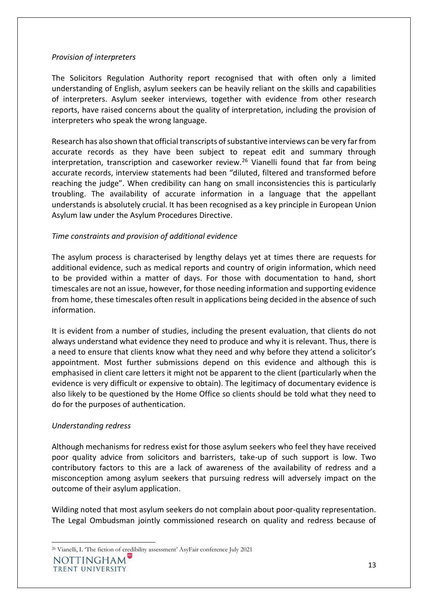#### *Provision of interpreters*

The Solicitors Regulation Authority report recognised that with often only a limited understanding of English, asylum seekers can be heavily reliant on the skills and capabilities of interpreters. Asylum seeker interviews, together with evidence from other research reports, have raised concerns about the quality of interpretation, including the provision of interpreters who speak the wrong language.

Research has also shown that official transcripts of substantive interviews can be very far from accurate records as they have been subject to repeat edit and summary through interpretation, transcription and caseworker review.<sup>26</sup> Vianelli found that far from being accurate records, interview statements had been "diluted, filtered and transformed before reaching the judge". When credibility can hang on small inconsistencies this is particularly troubling. The availability of accurate information in a language that the appellant understands is absolutely crucial. It has been recognised as a key principle in European Union Asylum law under the Asylum Procedures Directive.

#### *Time constraints and provision of additional evidence*

The asylum process is characterised by lengthy delays yet at times there are requests for additional evidence, such as medical reports and country of origin information, which need to be provided within a matter of days. For those with documentation to hand, short timescales are not an issue, however, for those needing information and supporting evidence from home, these timescales often result in applications being decided in the absence of such information.

It is evident from a number of studies, including the present evaluation, that clients do not always understand what evidence they need to produce and why it is relevant. Thus, there is a need to ensure that clients know what they need and why before they attend a solicitor's appointment. Most further submissions depend on this evidence and although this is emphasised in client care letters it might not be apparent to the client (particularly when the evidence is very difficult or expensive to obtain). The legitimacy of documentary evidence is also likely to be questioned by the Home Office so clients should be told what they need to do for the purposes of authentication.

#### *Understanding redress*

Although mechanisms for redress exist for those asylum seekers who feel they have received poor quality advice from solicitors and barristers, take-up of such support is low. Two contributory factors to this are a lack of awareness of the availability of redress and a misconception among asylum seekers that pursuing redress will adversely impact on the outcome of their asylum application.

Wilding noted that most asylum seekers do not complain about poor-quality representation. The Legal Ombudsman jointly commissioned research on quality and redress because of

<sup>26</sup> Vianelli, L 'The fiction of credibility assessment' AsyFair conference July 2021

NOTTINGHAM TRENT UNIVERSITY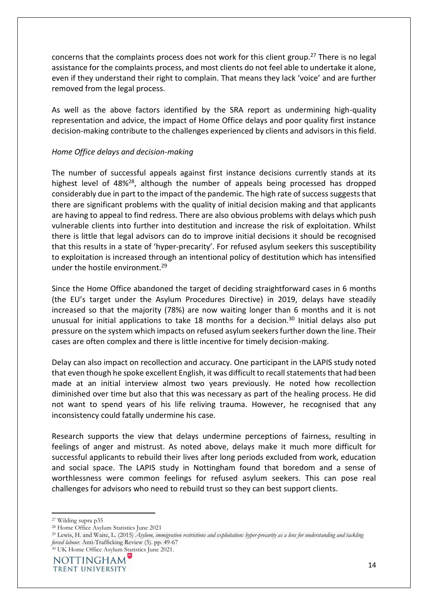concerns that the complaints process does not work for this client group.<sup>27</sup> There is no legal assistance for the complaints process, and most clients do not feel able to undertake it alone, even if they understand their right to complain. That means they lack 'voice' and are further removed from the legal process.

As well as the above factors identified by the SRA report as undermining high-quality representation and advice, the impact of Home Office delays and poor quality first instance decision-making contribute to the challenges experienced by clients and advisors in this field.

#### *Home Office delays and decision-making*

The number of successful appeals against first instance decisions currently stands at its highest level of 48%<sup>28</sup>, although the number of appeals being processed has dropped considerably due in part to the impact of the pandemic. The high rate of success suggests that there are significant problems with the quality of initial decision making and that applicants are having to appeal to find redress. There are also obvious problems with delays which push vulnerable clients into further into destitution and increase the risk of exploitation. Whilst there is little that legal advisors can do to improve initial decisions it should be recognised that this results in a state of 'hyper-precarity'. For refused asylum seekers this susceptibility to exploitation is increased through an intentional policy of destitution which has intensified under the hostile environment.<sup>29</sup>

Since the Home Office abandoned the target of deciding straightforward cases in 6 months (the EU's target under the Asylum Procedures Directive) in 2019, delays have steadily increased so that the majority (78%) are now waiting longer than 6 months and it is not unusual for initial applications to take 18 months for a decision.<sup>30</sup> Initial delays also put pressure on the system which impacts on refused asylum seekers further down the line. Their cases are often complex and there is little incentive for timely decision-making.

Delay can also impact on recollection and accuracy. One participant in the LAPIS study noted that even though he spoke excellent English, it was difficult to recall statements that had been made at an initial interview almost two years previously. He noted how recollection diminished over time but also that this was necessary as part of the healing process. He did not want to spend years of his life reliving trauma. However, he recognised that any inconsistency could fatally undermine his case.

Research supports the view that delays undermine perceptions of fairness, resulting in feelings of anger and mistrust. As noted above, delays make it much more difficult for successful applicants to rebuild their lives after long periods excluded from work, education and social space. The LAPIS study in Nottingham found that boredom and a sense of worthlessness were common feelings for refused asylum seekers. This can pose real challenges for advisors who need to rebuild trust so they can best support clients.

<sup>27</sup> Wilding supra p35

<sup>28</sup> Home Office Asylum Statistics June 2021

<sup>29</sup> Lewis, H. and Waite, L. (2015) *Asylum, immigration restrictions and exploitation: hyper-precarity as a lens for understanding and tackling forced labour.* Anti-Trafficking Review (5). pp. 49-67

<sup>30</sup> UK Home Office Asylum Statistics June 2021.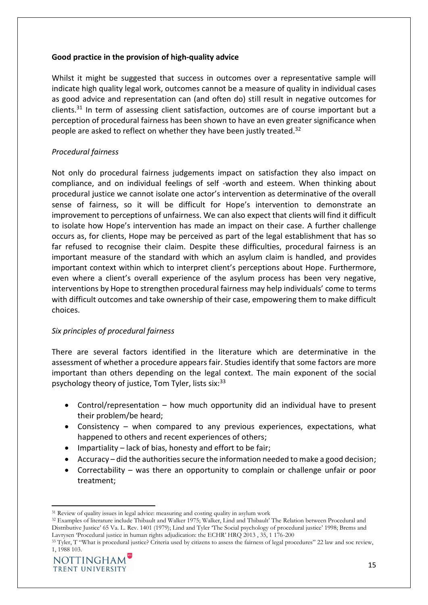#### **Good practice in the provision of high-quality advice**

Whilst it might be suggested that success in outcomes over a representative sample will indicate high quality legal work, outcomes cannot be a measure of quality in individual cases as good advice and representation can (and often do) still result in negative outcomes for clients.<sup>31</sup> In term of assessing client satisfaction, outcomes are of course important but a perception of procedural fairness has been shown to have an even greater significance when people are asked to reflect on whether they have been justly treated.<sup>32</sup>

#### *Procedural fairness*

Not only do procedural fairness judgements impact on satisfaction they also impact on compliance, and on individual feelings of self -worth and esteem. When thinking about procedural justice we cannot isolate one actor's intervention as determinative of the overall sense of fairness, so it will be difficult for Hope's intervention to demonstrate an improvement to perceptions of unfairness. We can also expect that clients will find it difficult to isolate how Hope's intervention has made an impact on their case. A further challenge occurs as, for clients, Hope may be perceived as part of the legal establishment that has so far refused to recognise their claim. Despite these difficulties, procedural fairness is an important measure of the standard with which an asylum claim is handled, and provides important context within which to interpret client's perceptions about Hope. Furthermore, even where a client's overall experience of the asylum process has been very negative, interventions by Hope to strengthen procedural fairness may help individuals' come to terms with difficult outcomes and take ownership of their case, empowering them to make difficult choices.

#### *Six principles of procedural fairness*

There are several factors identified in the literature which are determinative in the assessment of whether a procedure appears fair. Studies identify that some factors are more important than others depending on the legal context. The main exponent of the social psychology theory of justice, Tom Tyler, lists  $six:33$ 

- Control/representation how much opportunity did an individual have to present their problem/be heard;
- Consistency when compared to any previous experiences, expectations, what happened to others and recent experiences of others;
- Impartiality lack of bias, honesty and effort to be fair;
- Accuracy did the authorities secure the information needed to make a good decision;
- Correctability was there an opportunity to complain or challenge unfair or poor treatment;

<sup>33</sup> Tyler, T "What is procedural justice? Criteria used by citizens to assess the fairness of legal procedures" 22 law and soc review, 1, 1988 103.



<sup>&</sup>lt;sup>31</sup> Review of quality issues in legal advice: measuring and costing quality in asylum work

<sup>32</sup> Examples of literature include Thibault and Walker 1975; Walker, Lind and Thibault' The Relation between Procedural and Distributive Justice' 65 Va. L. Rev. 1401 (1979); Lind and Tyler 'The Social psychology of procedural justice' 1998; Brems and Lavrysen 'Procedural justice in human rights adjudication: the ECHR' HRQ 2013 , 35, 1 176-200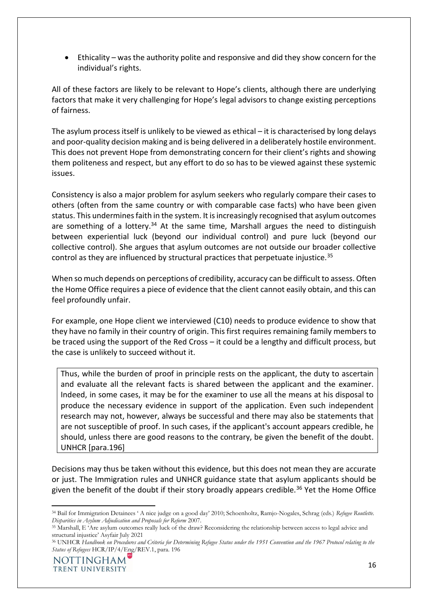• Ethicality – was the authority polite and responsive and did they show concern for the individual's rights.

All of these factors are likely to be relevant to Hope's clients, although there are underlying factors that make it very challenging for Hope's legal advisors to change existing perceptions of fairness.

The asylum process itself is unlikely to be viewed as ethical – it is characterised by long delays and poor-quality decision making and is being delivered in a deliberately hostile environment. This does not prevent Hope from demonstrating concern for their client's rights and showing them politeness and respect, but any effort to do so has to be viewed against these systemic issues.

Consistency is also a major problem for asylum seekers who regularly compare their cases to others (often from the same country or with comparable case facts) who have been given status. This undermines faith in the system. It is increasingly recognised that asylum outcomes are something of a lottery. $34$  At the same time, Marshall argues the need to distinguish between experiential luck (beyond our individual control) and pure luck (beyond our collective control). She argues that asylum outcomes are not outside our broader collective control as they are influenced by structural practices that perpetuate injustice.<sup>35</sup>

When so much depends on perceptions of credibility, accuracy can be difficult to assess. Often the Home Office requires a piece of evidence that the client cannot easily obtain, and this can feel profoundly unfair.

For example, one Hope client we interviewed (C10) needs to produce evidence to show that they have no family in their country of origin. This first requires remaining family members to be traced using the support of the Red Cross – it could be a lengthy and difficult process, but the case is unlikely to succeed without it.

Thus, while the burden of proof in principle rests on the applicant, the duty to ascertain and evaluate all the relevant facts is shared between the applicant and the examiner. Indeed, in some cases, it may be for the examiner to use all the means at his disposal to produce the necessary evidence in support of the application. Even such independent research may not, however, always be successful and there may also be statements that are not susceptible of proof. In such cases, if the applicant's account appears credible, he should, unless there are good reasons to the contrary, be given the benefit of the doubt. UNHCR [para.196]

Decisions may thus be taken without this evidence, but this does not mean they are accurate or just. The Immigration rules and UNHCR guidance state that asylum applicants should be given the benefit of the doubt if their story broadly appears credible.<sup>36</sup> Yet the Home Office

<sup>34</sup> Bail for Immigration Detainees ' A nice judge on a good day' 2010; Schoenholtz, Ramjo-Nogales, Schrag (eds.) *Refugee Routlette. Disparities in Asylum Adjudication and Proposals for Reform* 2007.

<sup>35</sup> Marshall, E 'Are asylum outcomes really luck of the draw? Reconsidering the relationship between access to legal advice and structural injustice' Asyfair July 2021

<sup>36</sup> UNHCR *Handbook on Procedures and Criteria for Determining Refugee Status under the 1951 Convention and the 1967 Protocol relating to the Status of Refugees* HCR/IP/4/Eng/REV.1, para. 196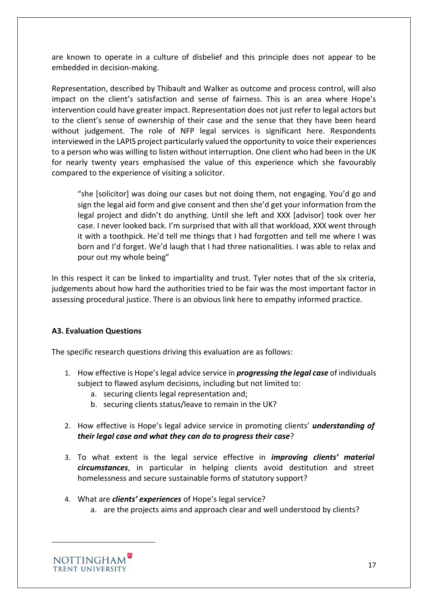are known to operate in a culture of disbelief and this principle does not appear to be embedded in decision-making.

Representation, described by Thibault and Walker as outcome and process control, will also impact on the client's satisfaction and sense of fairness. This is an area where Hope's intervention could have greater impact. Representation does not just refer to legal actors but to the client's sense of ownership of their case and the sense that they have been heard without judgement. The role of NFP legal services is significant here. Respondents interviewed in the LAPIS project particularly valued the opportunity to voice their experiences to a person who was willing to listen without interruption. One client who had been in the UK for nearly twenty years emphasised the value of this experience which she favourably compared to the experience of visiting a solicitor.

"she [solicitor] was doing our cases but not doing them, not engaging. You'd go and sign the legal aid form and give consent and then she'd get your information from the legal project and didn't do anything. Until she left and XXX [advisor] took over her case. I never looked back. I'm surprised that with all that workload, XXX went through it with a toothpick. He'd tell me things that I had forgotten and tell me where I was born and I'd forget. We'd laugh that I had three nationalities. I was able to relax and pour out my whole being"

In this respect it can be linked to impartiality and trust. Tyler notes that of the six criteria, judgements about how hard the authorities tried to be fair was the most important factor in assessing procedural justice. There is an obvious link here to empathy informed practice.

#### <span id="page-16-0"></span>**A3. Evaluation Questions**

The specific research questions driving this evaluation are as follows:

- 1. How effective is Hope's legal advice service in *progressing the legal case* of individuals subject to flawed asylum decisions, including but not limited to:
	- a. securing clients legal representation and;
	- b. securing clients status/leave to remain in the UK?
- 2. How effective is Hope's legal advice service in promoting clients' *understanding of their legal case and what they can do to progress their case*?
- 3. To what extent is the legal service effective in *improving clients' material circumstances*, in particular in helping clients avoid destitution and street homelessness and secure sustainable forms of statutory support?
- 4. What are *clients' experiences* of Hope's legal service?
	- a. are the projects aims and approach clear and well understood by clients?

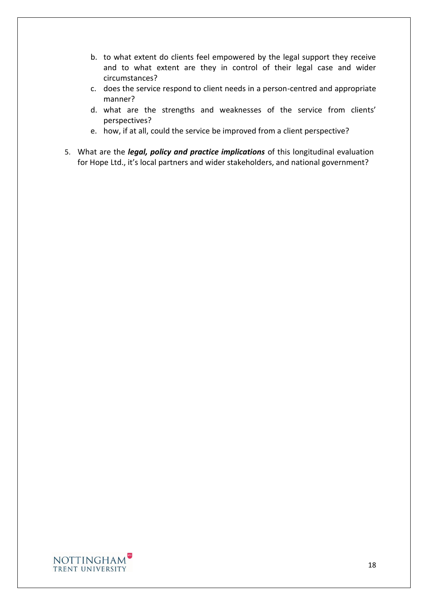- b. to what extent do clients feel empowered by the legal support they receive and to what extent are they in control of their legal case and wider circumstances?
- c. does the service respond to client needs in a person-centred and appropriate manner?
- d. what are the strengths and weaknesses of the service from clients' perspectives?
- e. how, if at all, could the service be improved from a client perspective?
- 5. What are the *legal, policy and practice implications* of this longitudinal evaluation for Hope Ltd., it's local partners and wider stakeholders, and national government?

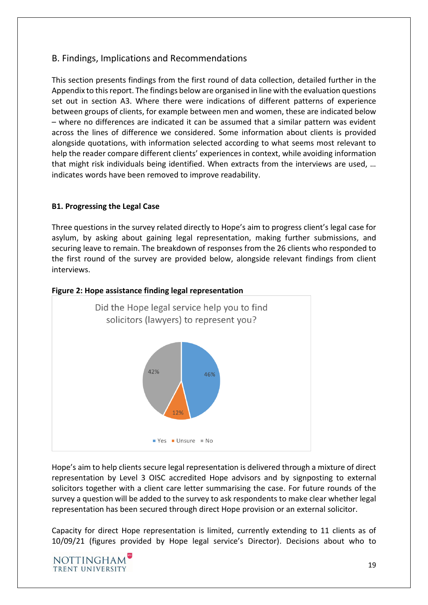# <span id="page-18-0"></span>B. Findings, Implications and Recommendations

This section presents findings from the first round of data collection, detailed further in the Appendix to this report. The findings below are organised in line with the evaluation questions set out in section A3. Where there were indications of different patterns of experience between groups of clients, for example between men and women, these are indicated below – where no differences are indicated it can be assumed that a similar pattern was evident across the lines of difference we considered. Some information about clients is provided alongside quotations, with information selected according to what seems most relevant to help the reader compare different clients' experiences in context, while avoiding information that might risk individuals being identified. When extracts from the interviews are used, … indicates words have been removed to improve readability.

#### <span id="page-18-1"></span>**B1. Progressing the Legal Case**

Three questions in the survey related directly to Hope's aim to progress client's legal case for asylum, by asking about gaining legal representation, making further submissions, and securing leave to remain. The breakdown of responses from the 26 clients who responded to the first round of the survey are provided below, alongside relevant findings from client interviews.



#### **Figure 2: Hope assistance finding legal representation**

Hope's aim to help clients secure legal representation is delivered through a mixture of direct representation by Level 3 OISC accredited Hope advisors and by signposting to external solicitors together with a client care letter summarising the case. For future rounds of the survey a question will be added to the survey to ask respondents to make clear whether legal representation has been secured through direct Hope provision or an external solicitor.

Capacity for direct Hope representation is limited, currently extending to 11 clients as of 10/09/21 (figures provided by Hope legal service's Director). Decisions about who to

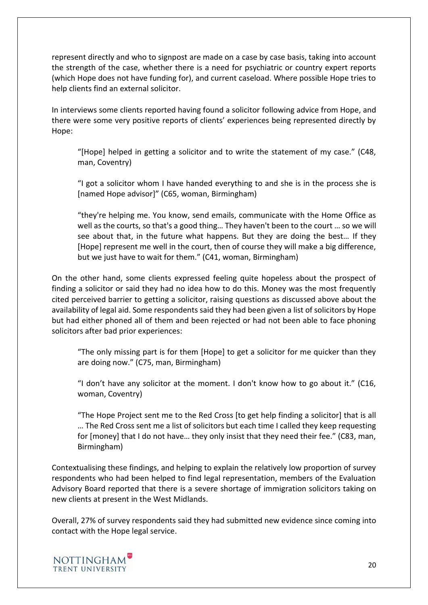represent directly and who to signpost are made on a case by case basis, taking into account the strength of the case, whether there is a need for psychiatric or country expert reports (which Hope does not have funding for), and current caseload. Where possible Hope tries to help clients find an external solicitor.

In interviews some clients reported having found a solicitor following advice from Hope, and there were some very positive reports of clients' experiences being represented directly by Hope:

"[Hope] helped in getting a solicitor and to write the statement of my case." (C48, man, Coventry)

"I got a solicitor whom I have handed everything to and she is in the process she is [named Hope advisor]" (C65, woman, Birmingham)

"they're helping me. You know, send emails, communicate with the Home Office as well as the courts, so that's a good thing… They haven't been to the court … so we will see about that, in the future what happens. But they are doing the best… If they [Hope] represent me well in the court, then of course they will make a big difference, but we just have to wait for them." (C41, woman, Birmingham)

On the other hand, some clients expressed feeling quite hopeless about the prospect of finding a solicitor or said they had no idea how to do this. Money was the most frequently cited perceived barrier to getting a solicitor, raising questions as discussed above about the availability of legal aid. Some respondents said they had been given a list of solicitors by Hope but had either phoned all of them and been rejected or had not been able to face phoning solicitors after bad prior experiences:

"The only missing part is for them [Hope] to get a solicitor for me quicker than they are doing now." (C75, man, Birmingham)

"I don't have any solicitor at the moment. I don't know how to go about it." (C16, woman, Coventry)

"The Hope Project sent me to the Red Cross [to get help finding a solicitor] that is all … The Red Cross sent me a list of solicitors but each time I called they keep requesting for [money] that I do not have… they only insist that they need their fee." (C83, man, Birmingham)

Contextualising these findings, and helping to explain the relatively low proportion of survey respondents who had been helped to find legal representation, members of the Evaluation Advisory Board reported that there is a severe shortage of immigration solicitors taking on new clients at present in the West Midlands.

Overall, 27% of survey respondents said they had submitted new evidence since coming into contact with the Hope legal service.

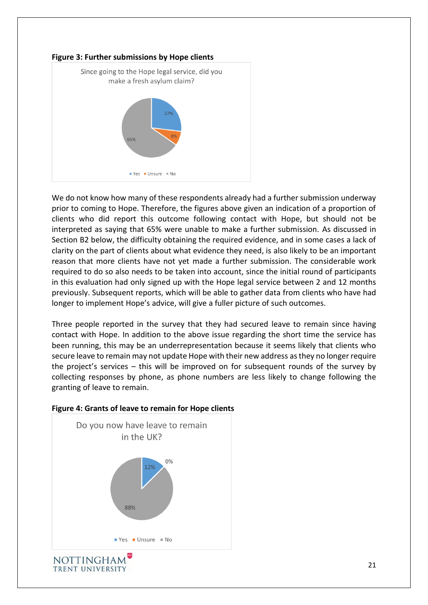

We do not know how many of these respondents already had a further submission underway prior to coming to Hope. Therefore, the figures above given an indication of a proportion of clients who did report this outcome following contact with Hope, but should not be interpreted as saying that 65% were unable to make a further submission. As discussed in Section B2 below, the difficulty obtaining the required evidence, and in some cases a lack of clarity on the part of clients about what evidence they need, is also likely to be an important reason that more clients have not yet made a further submission. The considerable work required to do so also needs to be taken into account, since the initial round of participants in this evaluation had only signed up with the Hope legal service between 2 and 12 months previously. Subsequent reports, which will be able to gather data from clients who have had longer to implement Hope's advice, will give a fuller picture of such outcomes.

Three people reported in the survey that they had secured leave to remain since having contact with Hope. In addition to the above issue regarding the short time the service has been running, this may be an underrepresentation because it seems likely that clients who secure leave to remain may not update Hope with their new address as they no longer require the project's services – this will be improved on for subsequent rounds of the survey by collecting responses by phone, as phone numbers are less likely to change following the granting of leave to remain.



#### **Figure 4: Grants of leave to remain for Hope clients**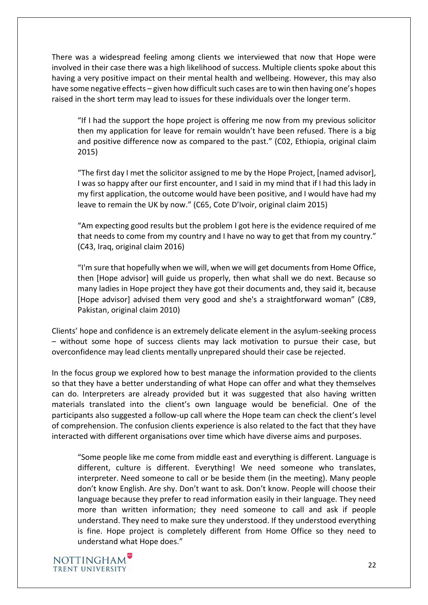There was a widespread feeling among clients we interviewed that now that Hope were involved in their case there was a high likelihood of success. Multiple clients spoke about this having a very positive impact on their mental health and wellbeing. However, this may also have some negative effects – given how difficult such cases are to win then having one's hopes raised in the short term may lead to issues for these individuals over the longer term.

"If I had the support the hope project is offering me now from my previous solicitor then my application for leave for remain wouldn't have been refused. There is a big and positive difference now as compared to the past." (C02, Ethiopia, original claim 2015)

"The first day I met the solicitor assigned to me by the Hope Project, [named advisor], I was so happy after our first encounter, and I said in my mind that if I had this lady in my first application, the outcome would have been positive, and I would have had my leave to remain the UK by now." (C65, Cote D'Ivoir, original claim 2015)

"Am expecting good results but the problem I got here is the evidence required of me that needs to come from my country and I have no way to get that from my country." (C43, Iraq, original claim 2016)

"I'm sure that hopefully when we will, when we will get documents from Home Office, then [Hope advisor] will guide us properly, then what shall we do next. Because so many ladies in Hope project they have got their documents and, they said it, because [Hope advisor] advised them very good and she's a straightforward woman" (C89, Pakistan, original claim 2010)

Clients' hope and confidence is an extremely delicate element in the asylum-seeking process – without some hope of success clients may lack motivation to pursue their case, but overconfidence may lead clients mentally unprepared should their case be rejected.

In the focus group we explored how to best manage the information provided to the clients so that they have a better understanding of what Hope can offer and what they themselves can do. Interpreters are already provided but it was suggested that also having written materials translated into the client's own language would be beneficial. One of the participants also suggested a follow-up call where the Hope team can check the client's level of comprehension. The confusion clients experience is also related to the fact that they have interacted with different organisations over time which have diverse aims and purposes.

"Some people like me come from middle east and everything is different. Language is different, culture is different. Everything! We need someone who translates, interpreter. Need someone to call or be beside them (in the meeting). Many people don't know English. Are shy. Don't want to ask. Don't know. People will choose their language because they prefer to read information easily in their language. They need more than written information; they need someone to call and ask if people understand. They need to make sure they understood. If they understood everything is fine. Hope project is completely different from Home Office so they need to understand what Hope does."

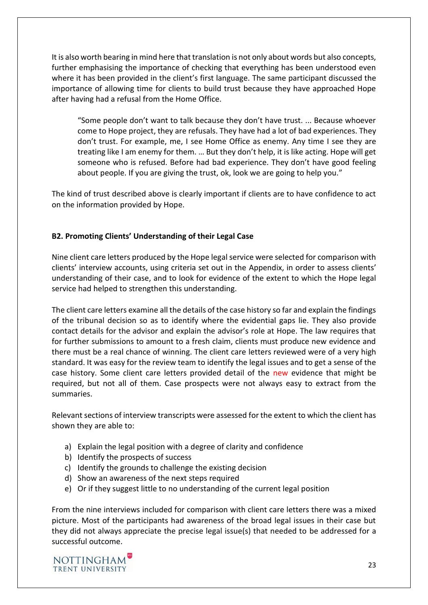It is also worth bearing in mind here that translation is not only about words but also concepts, further emphasising the importance of checking that everything has been understood even where it has been provided in the client's first language. The same participant discussed the importance of allowing time for clients to build trust because they have approached Hope after having had a refusal from the Home Office.

"Some people don't want to talk because they don't have trust. ... Because whoever come to Hope project, they are refusals. They have had a lot of bad experiences. They don't trust. For example, me, I see Home Office as enemy. Any time I see they are treating like I am enemy for them. … But they don't help, it is like acting. Hope will get someone who is refused. Before had bad experience. They don't have good feeling about people. If you are giving the trust, ok, look we are going to help you."

The kind of trust described above is clearly important if clients are to have confidence to act on the information provided by Hope.

#### <span id="page-22-0"></span>**B2. Promoting Clients' Understanding of their Legal Case**

Nine client care letters produced by the Hope legal service were selected for comparison with clients' interview accounts, using criteria set out in the Appendix, in order to assess clients' understanding of their case, and to look for evidence of the extent to which the Hope legal service had helped to strengthen this understanding.

The client care letters examine all the details of the case history so far and explain the findings of the tribunal decision so as to identify where the evidential gaps lie. They also provide contact details for the advisor and explain the advisor's role at Hope. The law requires that for further submissions to amount to a fresh claim, clients must produce new evidence and there must be a real chance of winning. The client care letters reviewed were of a very high standard. It was easy for the review team to identify the legal issues and to get a sense of the case history. Some client care letters provided detail of the new evidence that might be required, but not all of them. Case prospects were not always easy to extract from the summaries.

Relevant sections of interview transcripts were assessed for the extent to which the client has shown they are able to:

- a) Explain the legal position with a degree of clarity and confidence
- b) Identify the prospects of success
- c) Identify the grounds to challenge the existing decision
- d) Show an awareness of the next steps required
- e) Or if they suggest little to no understanding of the current legal position

From the nine interviews included for comparison with client care letters there was a mixed picture. Most of the participants had awareness of the broad legal issues in their case but they did not always appreciate the precise legal issue(s) that needed to be addressed for a successful outcome.

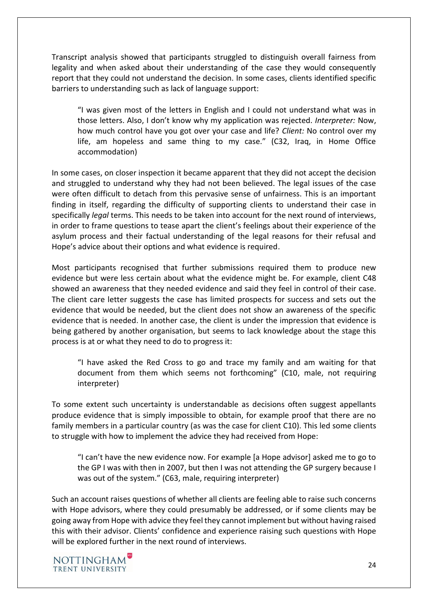Transcript analysis showed that participants struggled to distinguish overall fairness from legality and when asked about their understanding of the case they would consequently report that they could not understand the decision. In some cases, clients identified specific barriers to understanding such as lack of language support:

"I was given most of the letters in English and I could not understand what was in those letters. Also, I don't know why my application was rejected. *Interpreter:* Now, how much control have you got over your case and life? *Client:* No control over my life, am hopeless and same thing to my case." (C32, Iraq, in Home Office accommodation)

In some cases, on closer inspection it became apparent that they did not accept the decision and struggled to understand why they had not been believed. The legal issues of the case were often difficult to detach from this pervasive sense of unfairness. This is an important finding in itself, regarding the difficulty of supporting clients to understand their case in specifically *legal* terms. This needs to be taken into account for the next round of interviews, in order to frame questions to tease apart the client's feelings about their experience of the asylum process and their factual understanding of the legal reasons for their refusal and Hope's advice about their options and what evidence is required.

Most participants recognised that further submissions required them to produce new evidence but were less certain about what the evidence might be. For example, client C48 showed an awareness that they needed evidence and said they feel in control of their case. The client care letter suggests the case has limited prospects for success and sets out the evidence that would be needed, but the client does not show an awareness of the specific evidence that is needed. In another case, the client is under the impression that evidence is being gathered by another organisation, but seems to lack knowledge about the stage this process is at or what they need to do to progress it:

"I have asked the Red Cross to go and trace my family and am waiting for that document from them which seems not forthcoming" (C10, male, not requiring interpreter)

To some extent such uncertainty is understandable as decisions often suggest appellants produce evidence that is simply impossible to obtain, for example proof that there are no family members in a particular country (as was the case for client C10). This led some clients to struggle with how to implement the advice they had received from Hope:

"I can't have the new evidence now. For example [a Hope advisor] asked me to go to the GP I was with then in 2007, but then I was not attending the GP surgery because I was out of the system." (C63, male, requiring interpreter)

Such an account raises questions of whether all clients are feeling able to raise such concerns with Hope advisors, where they could presumably be addressed, or if some clients may be going away from Hope with advice they feel they cannot implement but without having raised this with their advisor. Clients' confidence and experience raising such questions with Hope will be explored further in the next round of interviews.

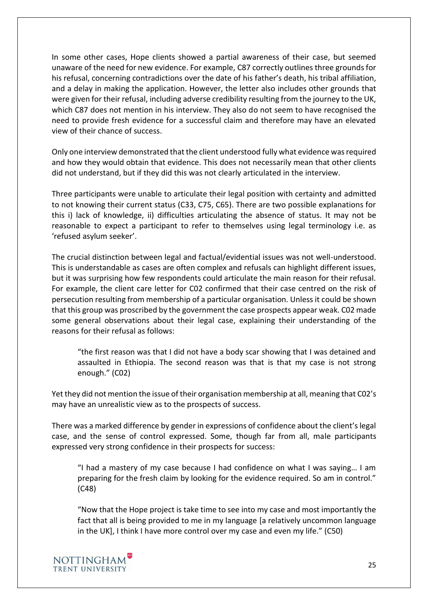In some other cases, Hope clients showed a partial awareness of their case, but seemed unaware of the need for new evidence. For example, C87 correctly outlines three grounds for his refusal, concerning contradictions over the date of his father's death, his tribal affiliation, and a delay in making the application. However, the letter also includes other grounds that were given for their refusal, including adverse credibility resulting from the journey to the UK, which C87 does not mention in his interview. They also do not seem to have recognised the need to provide fresh evidence for a successful claim and therefore may have an elevated view of their chance of success.

Only one interview demonstrated that the client understood fully what evidence was required and how they would obtain that evidence. This does not necessarily mean that other clients did not understand, but if they did this was not clearly articulated in the interview.

Three participants were unable to articulate their legal position with certainty and admitted to not knowing their current status (C33, C75, C65). There are two possible explanations for this i) lack of knowledge, ii) difficulties articulating the absence of status. It may not be reasonable to expect a participant to refer to themselves using legal terminology i.e. as 'refused asylum seeker'.

The crucial distinction between legal and factual/evidential issues was not well-understood. This is understandable as cases are often complex and refusals can highlight different issues, but it was surprising how few respondents could articulate the main reason for their refusal. For example, the client care letter for C02 confirmed that their case centred on the risk of persecution resulting from membership of a particular organisation. Unless it could be shown that this group was proscribed by the government the case prospects appear weak. C02 made some general observations about their legal case, explaining their understanding of the reasons for their refusal as follows:

"the first reason was that I did not have a body scar showing that I was detained and assaulted in Ethiopia. The second reason was that is that my case is not strong enough." (C02)

Yet they did not mention the issue of their organisation membership at all, meaning that C02's may have an unrealistic view as to the prospects of success.

There was a marked difference by gender in expressions of confidence about the client's legal case, and the sense of control expressed. Some, though far from all, male participants expressed very strong confidence in their prospects for success:

"I had a mastery of my case because I had confidence on what I was saying… I am preparing for the fresh claim by looking for the evidence required. So am in control." (C48)

"Now that the Hope project is take time to see into my case and most importantly the fact that all is being provided to me in my language [a relatively uncommon language in the UK], I think I have more control over my case and even my life." (C50)

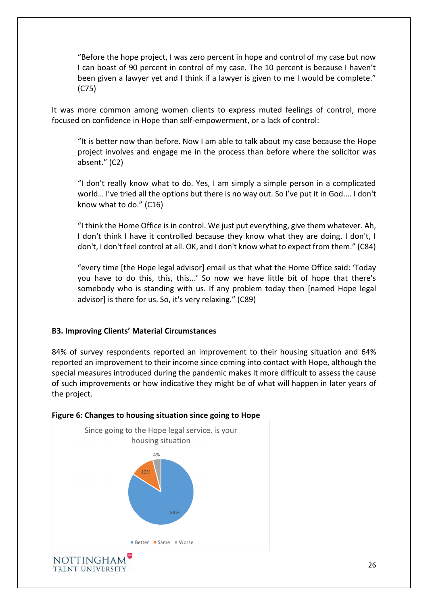"Before the hope project, I was zero percent in hope and control of my case but now I can boast of 90 percent in control of my case. The 10 percent is because I haven't been given a lawyer yet and I think if a lawyer is given to me I would be complete." (C75)

It was more common among women clients to express muted feelings of control, more focused on confidence in Hope than self-empowerment, or a lack of control:

"It is better now than before. Now I am able to talk about my case because the Hope project involves and engage me in the process than before where the solicitor was absent." (C2)

"I don't really know what to do. Yes, I am simply a simple person in a complicated world… I've tried all the options but there is no way out. So I've put it in God.... I don't know what to do." (C16)

"I think the Home Office is in control. We just put everything, give them whatever. Ah, I don't think I have it controlled because they know what they are doing. I don't, I don't, I don't feel control at all. OK, and I don't know what to expect from them." (C84)

"every time [the Hope legal advisor] email us that what the Home Office said: 'Today you have to do this, this, this...' So now we have little bit of hope that there's somebody who is standing with us. If any problem today then [named Hope legal advisor] is there for us. So, it's very relaxing." (C89)

#### <span id="page-25-0"></span>**B3. Improving Clients' Material Circumstances**

84% of survey respondents reported an improvement to their housing situation and 64% reported an improvement to their income since coming into contact with Hope, although the special measures introduced during the pandemic makes it more difficult to assess the cause of such improvements or how indicative they might be of what will happen in later years of the project.



TRENT UNIVERSITY

#### **Figure 6: Changes to housing situation since going to Hope**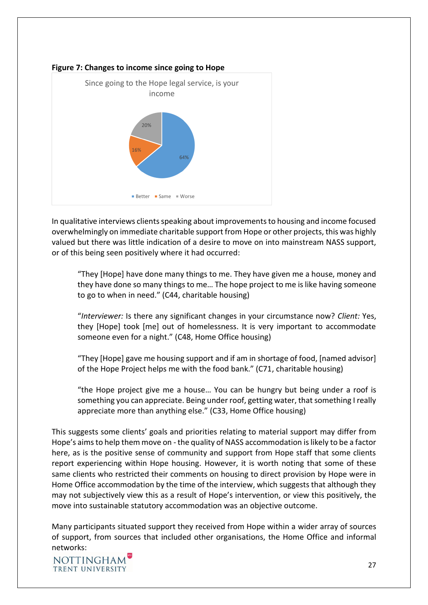

#### **Figure 7: Changes to income since going to Hope**

In qualitative interviews clients speaking about improvements to housing and income focused overwhelmingly on immediate charitable support from Hope or other projects, this was highly valued but there was little indication of a desire to move on into mainstream NASS support, or of this being seen positively where it had occurred:

"They [Hope] have done many things to me. They have given me a house, money and they have done so many things to me… The hope project to me is like having someone to go to when in need." (C44, charitable housing)

"*Interviewer:* Is there any significant changes in your circumstance now? *Client:* Yes, they [Hope] took [me] out of homelessness. It is very important to accommodate someone even for a night." (C48, Home Office housing)

"They [Hope] gave me housing support and if am in shortage of food, [named advisor] of the Hope Project helps me with the food bank." (C71, charitable housing)

"the Hope project give me a house… You can be hungry but being under a roof is something you can appreciate. Being under roof, getting water, that something I really appreciate more than anything else." (C33, Home Office housing)

This suggests some clients' goals and priorities relating to material support may differ from Hope's aims to help them move on - the quality of NASS accommodation is likely to be a factor here, as is the positive sense of community and support from Hope staff that some clients report experiencing within Hope housing. However, it is worth noting that some of these same clients who restricted their comments on housing to direct provision by Hope were in Home Office accommodation by the time of the interview, which suggests that although they may not subjectively view this as a result of Hope's intervention, or view this positively, the move into sustainable statutory accommodation was an objective outcome.

Many participants situated support they received from Hope within a wider array of sources of support, from sources that included other organisations, the Home Office and informal networks:

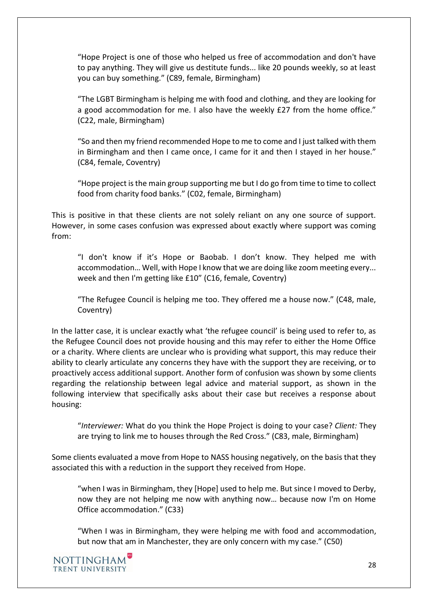"Hope Project is one of those who helped us free of accommodation and don't have to pay anything. They will give us destitute funds... like 20 pounds weekly, so at least you can buy something." (C89, female, Birmingham)

"The LGBT Birmingham is helping me with food and clothing, and they are looking for a good accommodation for me. I also have the weekly £27 from the home office." (C22, male, Birmingham)

"So and then my friend recommended Hope to me to come and I just talked with them in Birmingham and then I came once, I came for it and then I stayed in her house." (C84, female, Coventry)

"Hope project is the main group supporting me but I do go from time to time to collect food from charity food banks." (C02, female, Birmingham)

This is positive in that these clients are not solely reliant on any one source of support. However, in some cases confusion was expressed about exactly where support was coming from:

"I don't know if it's Hope or Baobab. I don't know. They helped me with accommodation… Well, with Hope I know that we are doing like zoom meeting every... week and then I'm getting like £10" (C16, female, Coventry)

"The Refugee Council is helping me too. They offered me a house now." (C48, male, Coventry)

In the latter case, it is unclear exactly what 'the refugee council' is being used to refer to, as the Refugee Council does not provide housing and this may refer to either the Home Office or a charity. Where clients are unclear who is providing what support, this may reduce their ability to clearly articulate any concerns they have with the support they are receiving, or to proactively access additional support. Another form of confusion was shown by some clients regarding the relationship between legal advice and material support, as shown in the following interview that specifically asks about their case but receives a response about housing:

"*Interviewer:* What do you think the Hope Project is doing to your case? *Client:* They are trying to link me to houses through the Red Cross." (C83, male, Birmingham)

Some clients evaluated a move from Hope to NASS housing negatively, on the basis that they associated this with a reduction in the support they received from Hope.

"when I was in Birmingham, they [Hope] used to help me. But since I moved to Derby, now they are not helping me now with anything now… because now I'm on Home Office accommodation." (C33)

"When I was in Birmingham, they were helping me with food and accommodation, but now that am in Manchester, they are only concern with my case." (C50)

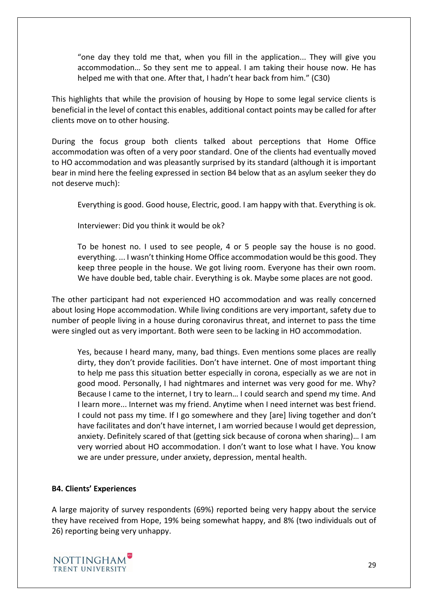"one day they told me that, when you fill in the application... They will give you accommodation… So they sent me to appeal. I am taking their house now. He has helped me with that one. After that, I hadn't hear back from him." (C30)

This highlights that while the provision of housing by Hope to some legal service clients is beneficial in the level of contact this enables, additional contact points may be called for after clients move on to other housing.

During the focus group both clients talked about perceptions that Home Office accommodation was often of a very poor standard. One of the clients had eventually moved to HO accommodation and was pleasantly surprised by its standard (although it is important bear in mind here the feeling expressed in section B4 below that as an asylum seeker they do not deserve much):

Everything is good. Good house, Electric, good. I am happy with that. Everything is ok.

Interviewer: Did you think it would be ok?

To be honest no. I used to see people, 4 or 5 people say the house is no good. everything. ... I wasn't thinking Home Office accommodation would be this good. They keep three people in the house. We got living room. Everyone has their own room. We have double bed, table chair. Everything is ok. Maybe some places are not good.

The other participant had not experienced HO accommodation and was really concerned about losing Hope accommodation. While living conditions are very important, safety due to number of people living in a house during coronavirus threat, and internet to pass the time were singled out as very important. Both were seen to be lacking in HO accommodation.

Yes, because I heard many, many, bad things. Even mentions some places are really dirty, they don't provide facilities. Don't have internet. One of most important thing to help me pass this situation better especially in corona, especially as we are not in good mood. Personally, I had nightmares and internet was very good for me. Why? Because I came to the internet, I try to learn… I could search and spend my time. And I learn more... Internet was my friend. Anytime when I need internet was best friend. I could not pass my time. If I go somewhere and they [are] living together and don't have facilitates and don't have internet, I am worried because I would get depression, anxiety. Definitely scared of that (getting sick because of corona when sharing)… I am very worried about HO accommodation. I don't want to lose what I have. You know we are under pressure, under anxiety, depression, mental health.

#### <span id="page-28-0"></span>**B4. Clients' Experiences**

A large majority of survey respondents (69%) reported being very happy about the service they have received from Hope, 19% being somewhat happy, and 8% (two individuals out of 26) reporting being very unhappy.

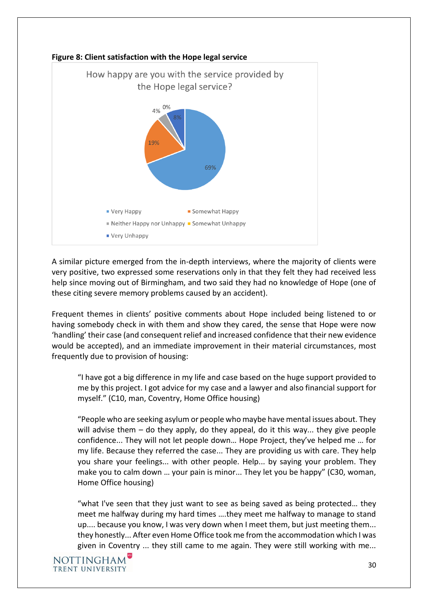

A similar picture emerged from the in-depth interviews, where the majority of clients were very positive, two expressed some reservations only in that they felt they had received less help since moving out of Birmingham, and two said they had no knowledge of Hope (one of these citing severe memory problems caused by an accident).

Frequent themes in clients' positive comments about Hope included being listened to or having somebody check in with them and show they cared, the sense that Hope were now 'handling' their case (and consequent relief and increased confidence that their new evidence would be accepted), and an immediate improvement in their material circumstances, most frequently due to provision of housing:

"I have got a big difference in my life and case based on the huge support provided to me by this project. I got advice for my case and a lawyer and also financial support for myself." (C10, man, Coventry, Home Office housing)

"People who are seeking asylum or people who maybe have mental issues about. They will advise them – do they apply, do they appeal, do it this way... they give people confidence... They will not let people down… Hope Project, they've helped me … for my life. Because they referred the case... They are providing us with care. They help you share your feelings... with other people. Help... by saying your problem. They make you to calm down … your pain is minor... They let you be happy" (C30, woman, Home Office housing)

"what I've seen that they just want to see as being saved as being protected… they meet me halfway during my hard times ….they meet me halfway to manage to stand up.... because you know, I was very down when I meet them, but just meeting them... they honestly... After even Home Office took me from the accommodation which I was given in Coventry ... they still came to me again. They were still working with me...

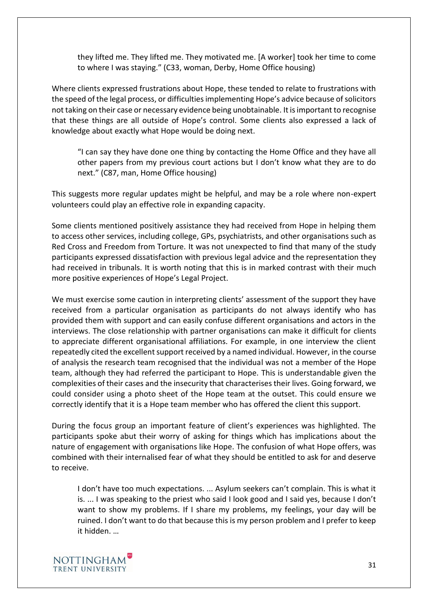they lifted me. They lifted me. They motivated me. [A worker] took her time to come to where I was staying." (C33, woman, Derby, Home Office housing)

Where clients expressed frustrations about Hope, these tended to relate to frustrations with the speed of the legal process, or difficulties implementing Hope's advice because of solicitors not taking on their case or necessary evidence being unobtainable. It is important to recognise that these things are all outside of Hope's control. Some clients also expressed a lack of knowledge about exactly what Hope would be doing next.

"I can say they have done one thing by contacting the Home Office and they have all other papers from my previous court actions but I don't know what they are to do next." (C87, man, Home Office housing)

This suggests more regular updates might be helpful, and may be a role where non-expert volunteers could play an effective role in expanding capacity.

Some clients mentioned positively assistance they had received from Hope in helping them to access other services, including college, GPs, psychiatrists, and other organisations such as Red Cross and Freedom from Torture. It was not unexpected to find that many of the study participants expressed dissatisfaction with previous legal advice and the representation they had received in tribunals. It is worth noting that this is in marked contrast with their much more positive experiences of Hope's Legal Project.

We must exercise some caution in interpreting clients' assessment of the support they have received from a particular organisation as participants do not always identify who has provided them with support and can easily confuse different organisations and actors in the interviews. The close relationship with partner organisations can make it difficult for clients to appreciate different organisational affiliations. For example, in one interview the client repeatedly cited the excellent support received by a named individual. However, in the course of analysis the research team recognised that the individual was not a member of the Hope team, although they had referred the participant to Hope. This is understandable given the complexities of their cases and the insecurity that characterises their lives. Going forward, we could consider using a photo sheet of the Hope team at the outset. This could ensure we correctly identify that it is a Hope team member who has offered the client this support.

During the focus group an important feature of client's experiences was highlighted. The participants spoke abut their worry of asking for things which has implications about the nature of engagement with organisations like Hope. The confusion of what Hope offers, was combined with their internalised fear of what they should be entitled to ask for and deserve to receive.

I don't have too much expectations. ... Asylum seekers can't complain. This is what it is. ... I was speaking to the priest who said I look good and I said yes, because I don't want to show my problems. If I share my problems, my feelings, your day will be ruined. I don't want to do that because this is my person problem and I prefer to keep it hidden. …

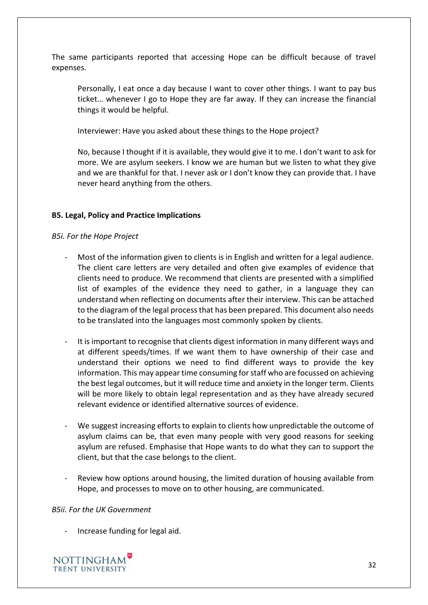The same participants reported that accessing Hope can be difficult because of travel expenses.

Personally, I eat once a day because I want to cover other things. I want to pay bus ticket… whenever I go to Hope they are far away. If they can increase the financial things it would be helpful.

Interviewer: Have you asked about these things to the Hope project?

No, because I thought if it is available, they would give it to me. I don't want to ask for more. We are asylum seekers. I know we are human but we listen to what they give and we are thankful for that. I never ask or I don't know they can provide that. I have never heard anything from the others.

#### <span id="page-31-0"></span>**B5. Legal, Policy and Practice Implications**

#### *B5i. For the Hope Project*

- Most of the information given to clients is in English and written for a legal audience. The client care letters are very detailed and often give examples of evidence that clients need to produce. We recommend that clients are presented with a simplified list of examples of the evidence they need to gather, in a language they can understand when reflecting on documents after their interview. This can be attached to the diagram of the legal process that has been prepared. This document also needs to be translated into the languages most commonly spoken by clients.
- It is important to recognise that clients digest information in many different ways and at different speeds/times. If we want them to have ownership of their case and understand their options we need to find different ways to provide the key information. This may appear time consuming for staff who are focussed on achieving the best legal outcomes, but it will reduce time and anxiety in the longer term. Clients will be more likely to obtain legal representation and as they have already secured relevant evidence or identified alternative sources of evidence.
- We suggest increasing efforts to explain to clients how unpredictable the outcome of asylum claims can be, that even many people with very good reasons for seeking asylum are refused. Emphasise that Hope wants to do what they can to support the client, but that the case belongs to the client.
- Review how options around housing, the limited duration of housing available from Hope, and processes to move on to other housing, are communicated.

#### *B5ii. For the UK Government*

Increase funding for legal aid.

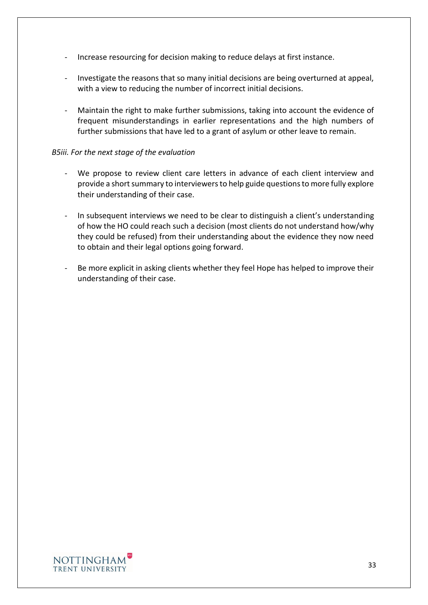- Increase resourcing for decision making to reduce delays at first instance.
- Investigate the reasons that so many initial decisions are being overturned at appeal, with a view to reducing the number of incorrect initial decisions.
- Maintain the right to make further submissions, taking into account the evidence of frequent misunderstandings in earlier representations and the high numbers of further submissions that have led to a grant of asylum or other leave to remain.

#### *B5iii. For the next stage of the evaluation*

- We propose to review client care letters in advance of each client interview and provide a short summary to interviewers to help guide questions to more fully explore their understanding of their case.
- In subsequent interviews we need to be clear to distinguish a client's understanding of how the HO could reach such a decision (most clients do not understand how/why they could be refused) from their understanding about the evidence they now need to obtain and their legal options going forward.
- Be more explicit in asking clients whether they feel Hope has helped to improve their understanding of their case.

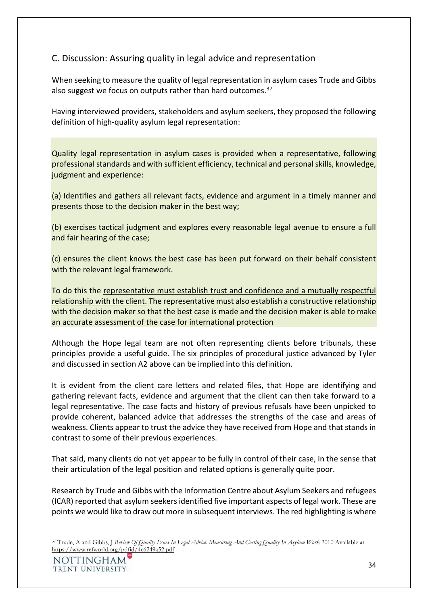# <span id="page-33-0"></span>C. Discussion: Assuring quality in legal advice and representation

When seeking to measure the quality of legal representation in asylum cases Trude and Gibbs also suggest we focus on outputs rather than hard outcomes.<sup>37</sup>

Having interviewed providers, stakeholders and asylum seekers, they proposed the following definition of high-quality asylum legal representation:

Quality legal representation in asylum cases is provided when a representative, following professional standards and with sufficient efficiency, technical and personal skills, knowledge, judgment and experience:

(a) Identifies and gathers all relevant facts, evidence and argument in a timely manner and presents those to the decision maker in the best way;

(b) exercises tactical judgment and explores every reasonable legal avenue to ensure a full and fair hearing of the case;

(c) ensures the client knows the best case has been put forward on their behalf consistent with the relevant legal framework.

To do this the representative must establish trust and confidence and a mutually respectful relationship with the client. The representative must also establish a constructive relationship with the decision maker so that the best case is made and the decision maker is able to make an accurate assessment of the case for international protection

Although the Hope legal team are not often representing clients before tribunals, these principles provide a useful guide. The six principles of procedural justice advanced by Tyler and discussed in section A2 above can be implied into this definition.

It is evident from the client care letters and related files, that Hope are identifying and gathering relevant facts, evidence and argument that the client can then take forward to a legal representative. The case facts and history of previous refusals have been unpicked to provide coherent, balanced advice that addresses the strengths of the case and areas of weakness. Clients appear to trust the advice they have received from Hope and that stands in contrast to some of their previous experiences.

That said, many clients do not yet appear to be fully in control of their case, in the sense that their articulation of the legal position and related options is generally quite poor.

Research by Trude and Gibbs with the Information Centre about Asylum Seekers and refugees (ICAR) reported that asylum seekers identified five important aspects of legal work. These are points we would like to draw out more in subsequent interviews. The red highlighting is where

<sup>37</sup> Trude, A and Gibbs, J *Review Of Quality Issues In Legal Advice: Measuring And Costing Quality In Asylum Work* 2010 Available at <https://www.refworld.org/pdfid/4c6249a52.pdf>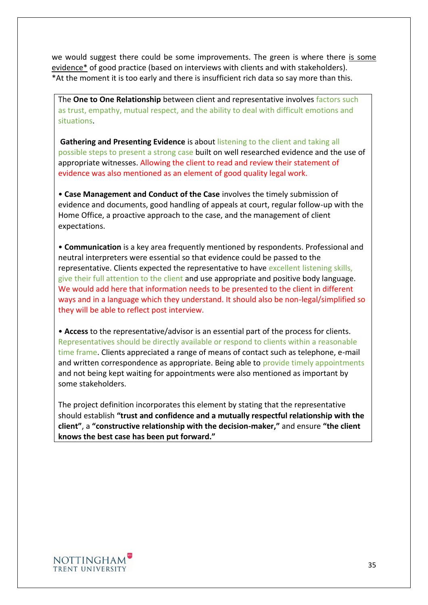we would suggest there could be some improvements. The green is where there is some evidence\* of good practice (based on interviews with clients and with stakeholders). \*At the moment it is too early and there is insufficient rich data so say more than this.

The **One to One Relationship** between client and representative involves factors such as trust, empathy, mutual respect, and the ability to deal with difficult emotions and situations.

**Gathering and Presenting Evidence** is about listening to the client and taking all possible steps to present a strong case built on well researched evidence and the use of appropriate witnesses. Allowing the client to read and review their statement of evidence was also mentioned as an element of good quality legal work.

• **Case Management and Conduct of the Case** involves the timely submission of evidence and documents, good handling of appeals at court, regular follow-up with the Home Office, a proactive approach to the case, and the management of client expectations.

• **Communication** is a key area frequently mentioned by respondents. Professional and neutral interpreters were essential so that evidence could be passed to the representative. Clients expected the representative to have excellent listening skills, give their full attention to the client and use appropriate and positive body language. We would add here that information needs to be presented to the client in different ways and in a language which they understand. It should also be non-legal/simplified so they will be able to reflect post interview.

• **Access** to the representative/advisor is an essential part of the process for clients. Representatives should be directly available or respond to clients within a reasonable time frame. Clients appreciated a range of means of contact such as telephone, e-mail and written correspondence as appropriate. Being able to provide timely appointments and not being kept waiting for appointments were also mentioned as important by some stakeholders.

The project definition incorporates this element by stating that the representative should establish **"trust and confidence and a mutually respectful relationship with the client"**, a **"constructive relationship with the decision-maker,"** and ensure **"the client knows the best case has been put forward."**

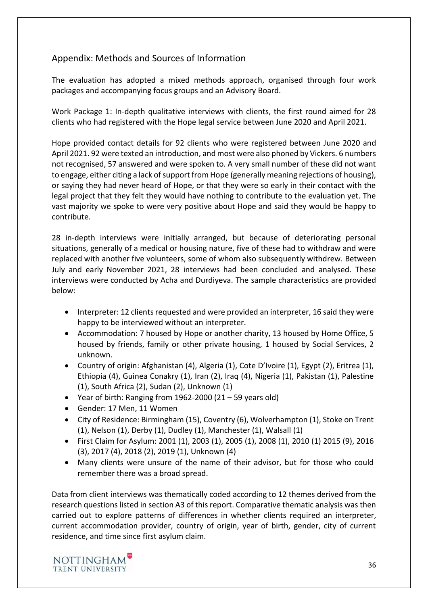# <span id="page-35-0"></span>Appendix: Methods and Sources of Information

The evaluation has adopted a mixed methods approach, organised through four work packages and accompanying focus groups and an Advisory Board.

Work Package 1: In-depth qualitative interviews with clients, the first round aimed for 28 clients who had registered with the Hope legal service between June 2020 and April 2021.

Hope provided contact details for 92 clients who were registered between June 2020 and April 2021. 92 were texted an introduction, and most were also phoned by Vickers. 6 numbers not recognised, 57 answered and were spoken to. A very small number of these did not want to engage, either citing a lack of support from Hope (generally meaning rejections of housing), or saying they had never heard of Hope, or that they were so early in their contact with the legal project that they felt they would have nothing to contribute to the evaluation yet. The vast majority we spoke to were very positive about Hope and said they would be happy to contribute.

28 in-depth interviews were initially arranged, but because of deteriorating personal situations, generally of a medical or housing nature, five of these had to withdraw and were replaced with another five volunteers, some of whom also subsequently withdrew. Between July and early November 2021, 28 interviews had been concluded and analysed. These interviews were conducted by Acha and Durdiyeva. The sample characteristics are provided below:

- Interpreter: 12 clients requested and were provided an interpreter, 16 said they were happy to be interviewed without an interpreter.
- Accommodation: 7 housed by Hope or another charity, 13 housed by Home Office, 5 housed by friends, family or other private housing, 1 housed by Social Services, 2 unknown.
- Country of origin: Afghanistan (4), Algeria (1), Cote D'Ivoire (1), Egypt (2), Eritrea (1), Ethiopia (4), Guinea Conakry (1), Iran (2), Iraq (4), Nigeria (1), Pakistan (1), Palestine (1), South Africa (2), Sudan (2), Unknown (1)
- Year of birth: Ranging from 1962-2000 (21 59 years old)
- Gender: 17 Men, 11 Women
- City of Residence: Birmingham (15), Coventry (6), Wolverhampton (1), Stoke on Trent (1), Nelson (1), Derby (1), Dudley (1), Manchester (1), Walsall (1)
- First Claim for Asylum: 2001 (1), 2003 (1), 2005 (1), 2008 (1), 2010 (1) 2015 (9), 2016 (3), 2017 (4), 2018 (2), 2019 (1), Unknown (4)
- Many clients were unsure of the name of their advisor, but for those who could remember there was a broad spread.

Data from client interviews was thematically coded according to 12 themes derived from the research questions listed in section A3 of this report. Comparative thematic analysis was then carried out to explore patterns of differences in whether clients required an interpreter, current accommodation provider, country of origin, year of birth, gender, city of current residence, and time since first asylum claim.

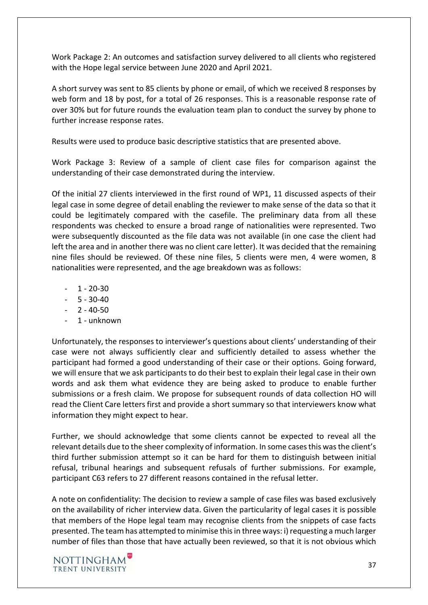Work Package 2: An outcomes and satisfaction survey delivered to all clients who registered with the Hope legal service between June 2020 and April 2021.

A short survey was sent to 85 clients by phone or email, of which we received 8 responses by web form and 18 by post, for a total of 26 responses. This is a reasonable response rate of over 30% but for future rounds the evaluation team plan to conduct the survey by phone to further increase response rates.

Results were used to produce basic descriptive statistics that are presented above.

Work Package 3: Review of a sample of client case files for comparison against the understanding of their case demonstrated during the interview.

Of the initial 27 clients interviewed in the first round of WP1, 11 discussed aspects of their legal case in some degree of detail enabling the reviewer to make sense of the data so that it could be legitimately compared with the casefile. The preliminary data from all these respondents was checked to ensure a broad range of nationalities were represented. Two were subsequently discounted as the file data was not available (in one case the client had left the area and in another there was no client care letter). It was decided that the remaining nine files should be reviewed. Of these nine files, 5 clients were men, 4 were women, 8 nationalities were represented, and the age breakdown was as follows:

- $1 20 30$
- $5 30 40$
- $2 40 50$
- 1 unknown

Unfortunately, the responses to interviewer's questions about clients' understanding of their case were not always sufficiently clear and sufficiently detailed to assess whether the participant had formed a good understanding of their case or their options. Going forward, we will ensure that we ask participants to do their best to explain their legal case in their own words and ask them what evidence they are being asked to produce to enable further submissions or a fresh claim. We propose for subsequent rounds of data collection HO will read the Client Care letters first and provide a short summary so that interviewers know what information they might expect to hear.

Further, we should acknowledge that some clients cannot be expected to reveal all the relevant details due to the sheer complexity of information. In some cases this was the client's third further submission attempt so it can be hard for them to distinguish between initial refusal, tribunal hearings and subsequent refusals of further submissions. For example, participant C63 refers to 27 different reasons contained in the refusal letter.

A note on confidentiality: The decision to review a sample of case files was based exclusively on the availability of richer interview data. Given the particularity of legal cases it is possible that members of the Hope legal team may recognise clients from the snippets of case facts presented. The team has attempted to minimise this in three ways: i) requesting a much larger number of files than those that have actually been reviewed, so that it is not obvious which